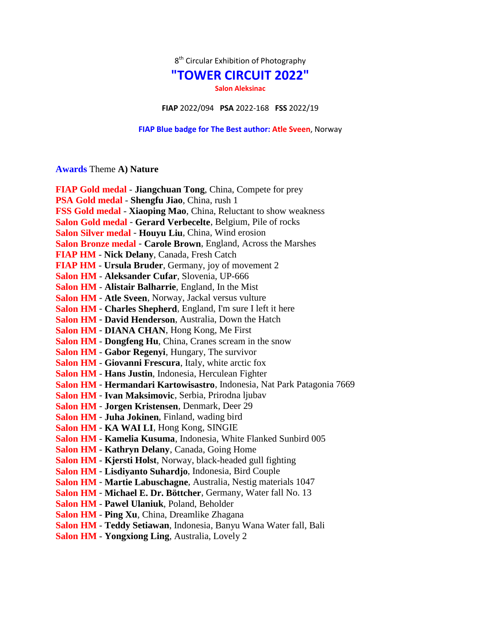$8<sup>th</sup>$  Circular Exhibition of Photography

## **"TOWER CIRCUIT 2022"**

**Salon Aleksinac**

**FIAP** 2022/094 **PSA** 2022-168 **FSS** 2022/19

**FIAP Blue badge for The Best author: Atle Sveen**, Norway

## **Awards** Theme **A) Nature**

| <b>FIAP Gold medal - Jiangchuan Tong, China, Compete for prey</b>       |
|-------------------------------------------------------------------------|
| PSA Gold medal - Shengfu Jiao, China, rush 1                            |
| FSS Gold medal - Xiaoping Mao, China, Reluctant to show weakness        |
| Salon Gold medal - Gerard Verbecelte, Belgium, Pile of rocks            |
| Salon Silver medal - Houyu Liu, China, Wind erosion                     |
| Salon Bronze medal - Carole Brown, England, Across the Marshes          |
| FIAP HM - Nick Delany, Canada, Fresh Catch                              |
| <b>FIAP HM - Ursula Bruder</b> , Germany, joy of movement 2             |
| Salon HM - Aleksander Cufar, Slovenia, UP-666                           |
| Salon HM - Alistair Balharrie, England, In the Mist                     |
| Salon HM - Atle Sveen, Norway, Jackal versus vulture                    |
| Salon HM - Charles Shepherd, England, I'm sure I left it here           |
| Salon HM - David Henderson, Australia, Down the Hatch                   |
| Salon HM - DIANA CHAN, Hong Kong, Me First                              |
| Salon HM - Dongfeng Hu, China, Cranes scream in the snow                |
| Salon HM - Gabor Regenyi, Hungary, The survivor                         |
| Salon HM - Giovanni Frescura, Italy, white arctic fox                   |
| Salon HM - Hans Justin, Indonesia, Herculean Fighter                    |
| Salon HM - Hermandari Kartowisastro, Indonesia, Nat Park Patagonia 7669 |
| Salon HM - Ivan Maksimovic, Serbia, Prirodna ljubav                     |
| Salon HM - Jorgen Kristensen, Denmark, Deer 29                          |
| Salon HM - Juha Jokinen, Finland, wading bird                           |
| Salon HM - KA WAI LI, Hong Kong, SINGIE                                 |
| Salon HM - Kamelia Kusuma, Indonesia, White Flanked Sunbird 005         |
| Salon HM - Kathryn Delany, Canada, Going Home                           |
| Salon HM - Kjersti Holst, Norway, black-headed gull fighting            |
| Salon HM - Lisdiyanto Suhardjo, Indonesia, Bird Couple                  |
| Salon HM - Martie Labuschagne, Australia, Nestig materials 1047         |
| Salon HM - Michael E. Dr. Böttcher, Germany, Water fall No. 13          |
| Salon HM - Pawel Ulaniuk, Poland, Beholder                              |
| Salon HM - Ping Xu, China, Dreamlike Zhagana                            |
| Salon HM - Teddy Setiawan, Indonesia, Banyu Wana Water fall, Bali       |
| <b>Salon HM - Yongxiong Ling, Australia, Lovely 2</b>                   |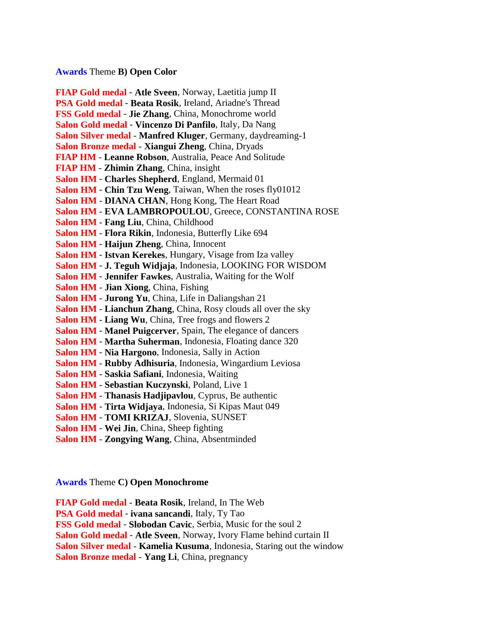## **Awards** Theme **B) Open Color**

**FIAP Gold medal** - **Atle Sveen**, Norway, Laetitia jump II **PSA Gold medal** - **Beata Rosik**, Ireland, Ariadne's Thread **FSS Gold medal** - **Jie Zhang**, China, Monochrome world **Salon Gold medal** - **Vincenzo Di Panfilo**, Italy, Da Nang **Salon Silver medal** - **Manfred Kluger**, Germany, daydreaming-1 **Salon Bronze medal** - **Xiangui Zheng**, China, Dryads **FIAP HM** - **Leanne Robson**, Australia, Peace And Solitude **FIAP HM** - **Zhimin Zhang**, China, insight **Salon HM** - **Charles Shepherd**, England, Mermaid 01 **Salon HM** - **Chin Tzu Weng**, Taiwan, When the roses fly01012 **Salon HM** - **DIANA CHAN**, Hong Kong, The Heart Road **Salon HM** - **EVA LAMBROPOULOU**, Greece, CONSTANTINA ROSE **Salon HM** - **Fang Liu**, China, Childhood **Salon HM** - **Flora Rikin**, Indonesia, Butterfly Like 694 **Salon HM** - **Haijun Zheng**, China, Innocent **Salon HM** - **Istvan Kerekes**, Hungary, Visage from Iza valley **Salon HM** - **J. Teguh Widjaja**, Indonesia, LOOKING FOR WISDOM **Salon HM** - **Jennifer Fawkes**, Australia, Waiting for the Wolf **Salon HM** - **Jian Xiong**, China, Fishing **Salon HM** - **Jurong Yu**, China, Life in Daliangshan 21 **Salon HM** - **Lianchun Zhang**, China, Rosy clouds all over the sky **Salon HM** - **Liang Wu**, China, Tree frogs and flowers 2 **Salon HM** - **Manel Puigcerver**, Spain, The elegance of dancers **Salon HM** - **Martha Suherman**, Indonesia, Floating dance 320 **Salon HM** - **Nia Hargono**, Indonesia, Sally in Action **Salon HM** - **Rubby Adhisuria**, Indonesia, Wingardium Leviosa **Salon HM** - **Saskia Safiani**, Indonesia, Waiting **Salon HM** - **Sebastian Kuczynski**, Poland, Live 1 **Salon HM** - **Thanasis Hadjipavlou**, Cyprus, Be authentic **Salon HM** - **Tirta Widjaya**, Indonesia, Si Kipas Maut 049 **Salon HM** - **TOMI KRIZAJ**, Slovenia, SUNSET **Salon HM** - **Wei Jin**, China, Sheep fighting

**Salon HM** - **Zongying Wang**, China, Absentminded

**Awards** Theme **C) Open Monochrome**

**FIAP Gold medal** - **Beata Rosik**, Ireland, In The Web

**PSA Gold medal** - **ivana sancandi**, Italy, Ty Tao

**FSS Gold medal** - **Slobodan Cavic**, Serbia, Music for the soul 2

**Salon Gold medal** - **Atle Sveen**, Norway, Ivory Flame behind curtain II

**Salon Silver medal** - **Kamelia Kusuma**, Indonesia, Staring out the window

**Salon Bronze medal** - **Yang Li**, China, pregnancy